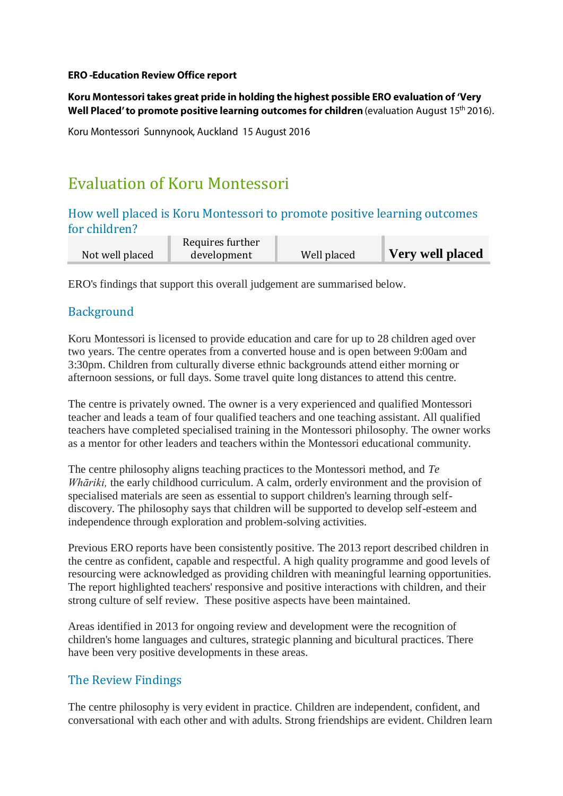#### **ERO-Education Review Office report**

Koru Montessori takes great pride in holding the highest possible ERO evaluation of 'Very Well Placed' to promote positive learning outcomes for children (evaluation August 15<sup>th</sup> 2016).

Koru Montessori Sunnynook, Auckland 15 August 2016

# Evaluation of Koru Montessori

#### How well placed is Koru Montessori to promote positive learning outcomes for children?

|                 | Requires further |             |                  |
|-----------------|------------------|-------------|------------------|
| Not well placed | development      | Well placed | Very well placed |
|                 |                  |             |                  |

ERO's findings that support this overall judgement are summarised below.

#### **Background**

Koru Montessori is licensed to provide education and care for up to 28 children aged over two years. The centre operates from a converted house and is open between 9:00am and 3:30pm. Children from culturally diverse ethnic backgrounds attend either morning or afternoon sessions, or full days. Some travel quite long distances to attend this centre.

The centre is privately owned. The owner is a very experienced and qualified Montessori teacher and leads a team of four qualified teachers and one teaching assistant. All qualified teachers have completed specialised training in the Montessori philosophy. The owner works as a mentor for other leaders and teachers within the Montessori educational community.

The centre philosophy aligns teaching practices to the Montessori method, and *Te Whāriki,* the early childhood curriculum. A calm, orderly environment and the provision of specialised materials are seen as essential to support children's learning through selfdiscovery. The philosophy says that children will be supported to develop self-esteem and independence through exploration and problem-solving activities.

Previous ERO reports have been consistently positive. The 2013 report described children in the centre as confident, capable and respectful. A high quality programme and good levels of resourcing were acknowledged as providing children with meaningful learning opportunities. The report highlighted teachers' responsive and positive interactions with children, and their strong culture of self review. These positive aspects have been maintained.

Areas identified in 2013 for ongoing review and development were the recognition of children's home languages and cultures, strategic planning and bicultural practices. There have been very positive developments in these areas.

#### The Review Findings

The centre philosophy is very evident in practice. Children are independent, confident, and conversational with each other and with adults. Strong friendships are evident. Children learn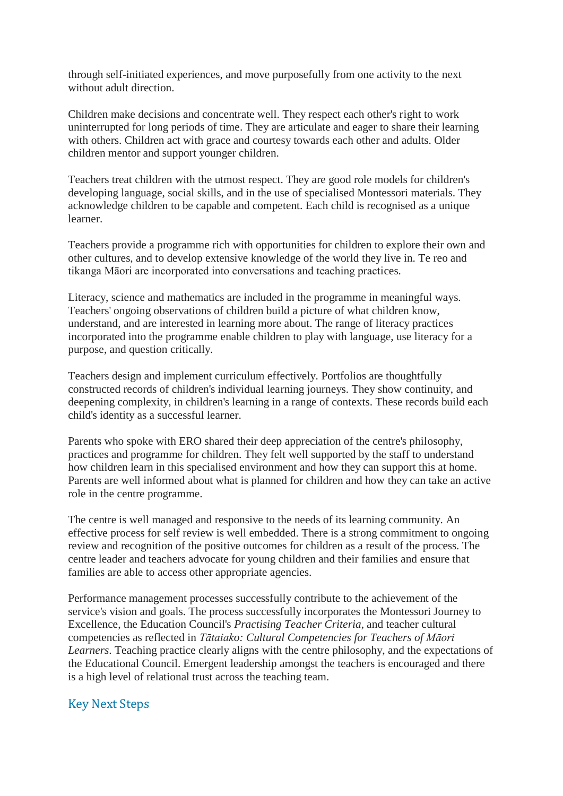through self-initiated experiences, and move purposefully from one activity to the next without adult direction.

Children make decisions and concentrate well. They respect each other's right to work uninterrupted for long periods of time. They are articulate and eager to share their learning with others. Children act with grace and courtesy towards each other and adults. Older children mentor and support younger children.

Teachers treat children with the utmost respect. They are good role models for children's developing language, social skills, and in the use of specialised Montessori materials. They acknowledge children to be capable and competent. Each child is recognised as a unique learner.

Teachers provide a programme rich with opportunities for children to explore their own and other cultures, and to develop extensive knowledge of the world they live in. Te reo and tikanga Māori are incorporated into conversations and teaching practices.

Literacy, science and mathematics are included in the programme in meaningful ways. Teachers' ongoing observations of children build a picture of what children know, understand, and are interested in learning more about. The range of literacy practices incorporated into the programme enable children to play with language, use literacy for a purpose, and question critically.

Teachers design and implement curriculum effectively. Portfolios are thoughtfully constructed records of children's individual learning journeys. They show continuity, and deepening complexity, in children's learning in a range of contexts. These records build each child's identity as a successful learner.

Parents who spoke with ERO shared their deep appreciation of the centre's philosophy, practices and programme for children. They felt well supported by the staff to understand how children learn in this specialised environment and how they can support this at home. Parents are well informed about what is planned for children and how they can take an active role in the centre programme.

The centre is well managed and responsive to the needs of its learning community. An effective process for self review is well embedded. There is a strong commitment to ongoing review and recognition of the positive outcomes for children as a result of the process. The centre leader and teachers advocate for young children and their families and ensure that families are able to access other appropriate agencies.

Performance management processes successfully contribute to the achievement of the service's vision and goals. The process successfully incorporates the Montessori Journey to Excellence, the Education Council's *Practising Teacher Criteria*, and teacher cultural competencies as reflected in *Tātaiako: Cultural Competencies for Teachers of Māori Learners*. Teaching practice clearly aligns with the centre philosophy, and the expectations of the Educational Council. Emergent leadership amongst the teachers is encouraged and there is a high level of relational trust across the teaching team.

#### Key Next Steps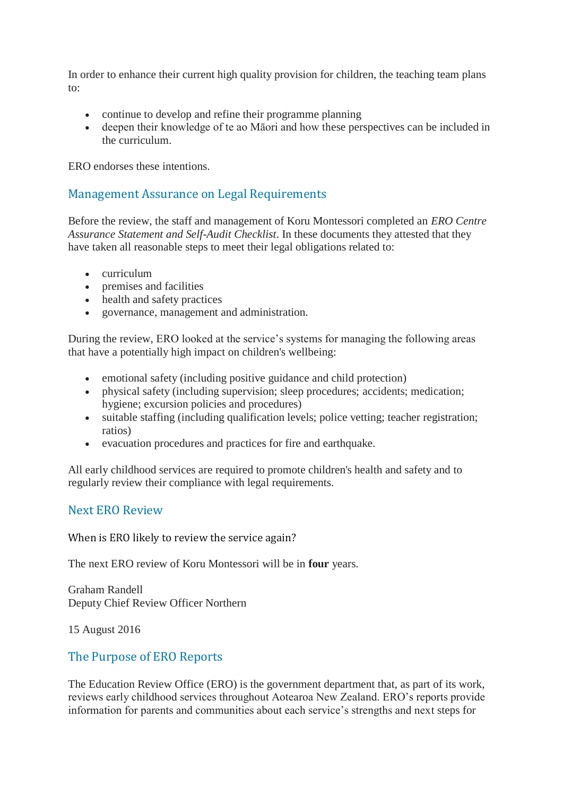In order to enhance their current high quality provision for children, the teaching team plans to:

- continue to develop and refine their programme planning
- deepen their knowledge of te ao Māori and how these perspectives can be included in the curriculum.

ERO endorses these intentions.

#### Management Assurance on Legal Requirements

Before the review, the staff and management of Koru Montessori completed an *ERO Centre Assurance Statement and Self-Audit Checklist*. In these documents they attested that they have taken all reasonable steps to meet their legal obligations related to:

- curriculum
- premises and facilities
- health and safety practices
- governance, management and administration.

During the review, ERO looked at the service's systems for managing the following areas that have a potentially high impact on children's wellbeing:

- emotional safety (including positive guidance and child protection)
- physical safety (including supervision; sleep procedures; accidents; medication; hygiene; excursion policies and procedures)
- suitable staffing (including qualification levels; police vetting; teacher registration; ratios)
- evacuation procedures and practices for fire and earthquake.

All early childhood services are required to promote children's health and safety and to regularly review their compliance with legal requirements.

#### Next ERO Review

When is ERO likely to review the service again?

The next ERO review of Koru Montessori will be in **four** years.

Graham Randell Deputy Chief Review Officer Northern

15 August 2016

#### The Purpose of ERO Reports

The Education Review Office (ERO) is the government department that, as part of its work, reviews early childhood services throughout Aotearoa New Zealand. ERO's reports provide information for parents and communities about each service's strengths and next steps for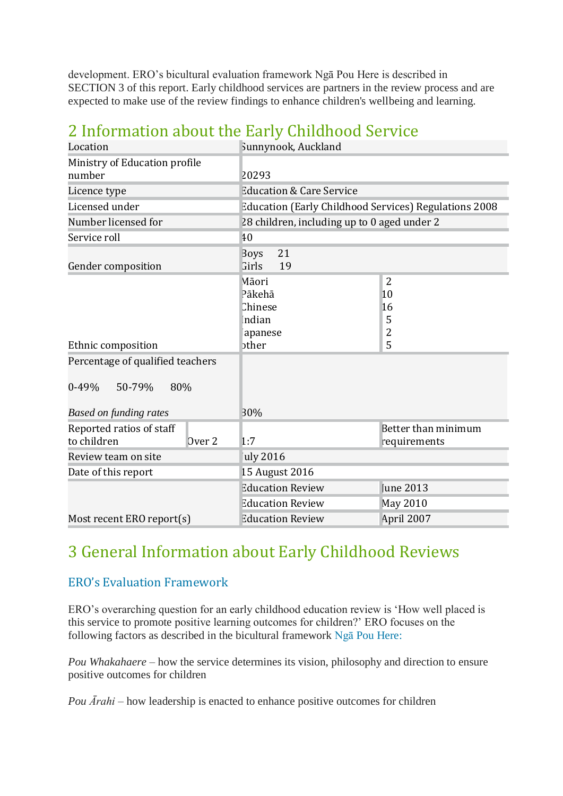development. ERO's bicultural evaluation framework Ngā Pou Here is described in SECTION 3 of this report. Early childhood services are partners in the review process and are expected to make use of the review findings to enhance children's wellbeing and learning.

| Location                                |                   | Sunnynook, Auckland                                      |                         |                                                        |
|-----------------------------------------|-------------------|----------------------------------------------------------|-------------------------|--------------------------------------------------------|
| Ministry of Education profile<br>number |                   | 20293                                                    |                         |                                                        |
| Licence type                            |                   | <b>Education &amp; Care Service</b>                      |                         |                                                        |
| Licensed under                          |                   | Education (Early Childhood Services) Regulations 2008    |                         |                                                        |
| Number licensed for                     |                   | 28 children, including up to 0 aged under 2              |                         |                                                        |
| Service roll                            |                   | 40                                                       |                         |                                                        |
| Gender composition                      |                   | 21<br><b>Boys</b><br>19<br>Girls                         |                         |                                                        |
| Ethnic composition                      |                   | Māori<br>Pākehā<br>Chinese<br>Indian<br>apanese<br>bther |                         | $\overline{2}$<br>10<br>16<br>5<br>$\overline{c}$<br>5 |
| Percentage of qualified teachers        |                   |                                                          |                         |                                                        |
| $0 - 49%$<br>50-79%<br>80%              |                   |                                                          |                         |                                                        |
| <b>Based on funding rates</b>           |                   | 30%                                                      |                         |                                                        |
| Reported ratios of staff<br>to children | Over <sub>2</sub> | 1:7                                                      |                         | Better than minimum<br>requirements                    |
| Review team on site                     |                   | uly 2016                                                 |                         |                                                        |
| Date of this report                     |                   | 15 August 2016                                           |                         |                                                        |
|                                         |                   |                                                          | <b>Education Review</b> | <b>June 2013</b>                                       |
|                                         |                   |                                                          | <b>Education Review</b> | <b>May 2010</b>                                        |
| Most recent ERO report(s)               |                   |                                                          | <b>Education Review</b> | April 2007                                             |

## 2 Information about the Early Childhood Service

# 3 General Information about Early Childhood Reviews

### ERO's Evaluation Framework

ERO's overarching question for an early childhood education review is 'How well placed is this service to promote positive learning outcomes for children?' ERO focuses on the following factors as described in the bicultural framework Ngā Pou [Here:](https://www.ero.govt.nz/publications/he-pou-tataki-how-ero-reviews-early-childhood-services/part-4-eros-framework-for-review-nga-pou-here/)

*Pou Whakahaere* – how the service determines its vision, philosophy and direction to ensure positive outcomes for children

*Pou Ārahi* – how leadership is enacted to enhance positive outcomes for children